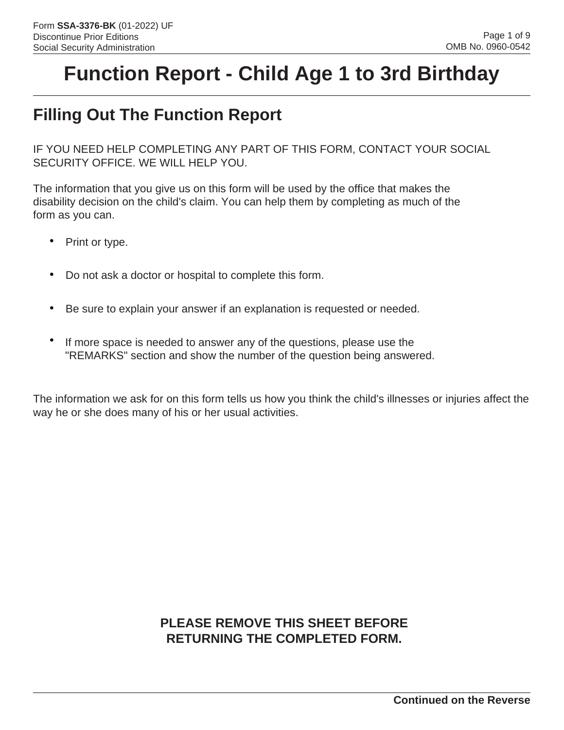# **Function Report - Child Age 1 to 3rd Birthday**

## **Filling Out The Function Report**

IF YOU NEED HELP COMPLETING ANY PART OF THIS FORM, CONTACT YOUR SOCIAL SECURITY OFFICE. WE WILL HELP YOU.

The information that you give us on this form will be used by the office that makes the disability decision on the child's claim. You can help them by completing as much of the form as you can.

- Print or type.
- Do not ask a doctor or hospital to complete this form.
- Be sure to explain your answer if an explanation is requested or needed.
- If more space is needed to answer any of the questions, please use the "REMARKS" section and show the number of the question being answered.

The information we ask for on this form tells us how you think the child's illnesses or injuries affect the way he or she does many of his or her usual activities.

### **PLEASE REMOVE THIS SHEET BEFORE RETURNING THE COMPLETED FORM.**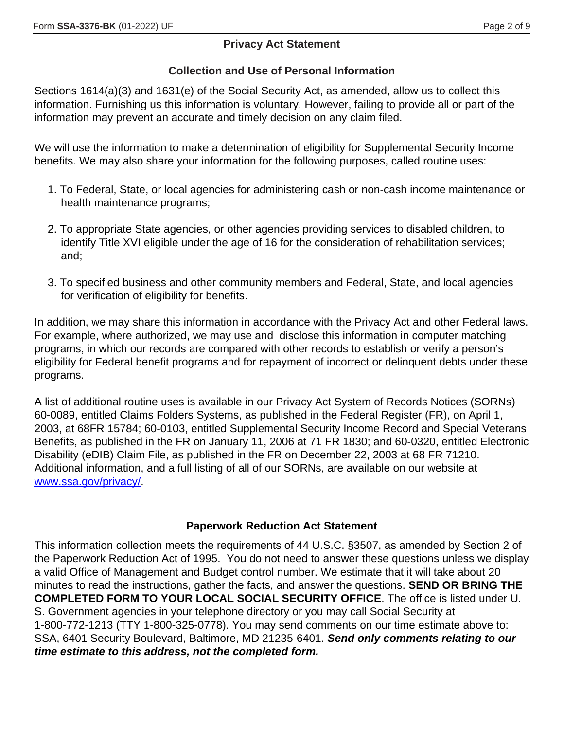#### **Privacy Act Statement**

#### **Collection and Use of Personal Information**

Sections 1614(a)(3) and 1631(e) of the Social Security Act, as amended, allow us to collect this information. Furnishing us this information is voluntary. However, failing to provide all or part of the information may prevent an accurate and timely decision on any claim filed.

We will use the information to make a determination of eligibility for Supplemental Security Income benefits. We may also share your information for the following purposes, called routine uses:

- 1. To Federal, State, or local agencies for administering cash or non-cash income maintenance or health maintenance programs;
- 2. To appropriate State agencies, or other agencies providing services to disabled children, to identify Title XVI eligible under the age of 16 for the consideration of rehabilitation services; and;
- 3. To specified business and other community members and Federal, State, and local agencies for verification of eligibility for benefits.

In addition, we may share this information in accordance with the Privacy Act and other Federal laws. For example, where authorized, we may use and disclose this information in computer matching programs, in which our records are compared with other records to establish or verify a person's eligibility for Federal benefit programs and for repayment of incorrect or delinquent debts under these programs.

A list of additional routine uses is available in our Privacy Act System of Records Notices (SORNs) 60-0089, entitled Claims Folders Systems, as published in the Federal Register (FR), on April 1, 2003, at 68FR 15784; 60-0103, entitled Supplemental Security Income Record and Special Veterans Benefits, as published in the FR on January 11, 2006 at 71 FR 1830; and 60-0320, entitled Electronic Disability (eDIB) Claim File, as published in the FR on December 22, 2003 at 68 FR 71210. Additional information, and a full listing of all of our SORNs, are available on our website at [www.ssa.gov/privacy/.](www.ssa.gov/privacy/)

#### **Paperwork Reduction Act Statement**

This information collection meets the requirements of 44 U.S.C. §3507, as amended by Section 2 of the Paperwork Reduction Act of 1995. You do not need to answer these questions unless we display a valid Office of Management and Budget control number. We estimate that it will take about 20 minutes to read the instructions, gather the facts, and answer the questions. **SEND OR BRING THE COMPLETED FORM TO YOUR LOCAL SOCIAL SECURITY OFFICE**. The office is listed under U. S. Government agencies in your telephone directory or you may call Social Security at 1-800-772-1213 (TTY 1-800-325-0778). You may send comments on our time estimate above to: SSA, 6401 Security Boulevard, Baltimore, MD 21235-6401. *Send only comments relating to our time estimate to this address, not the completed form.*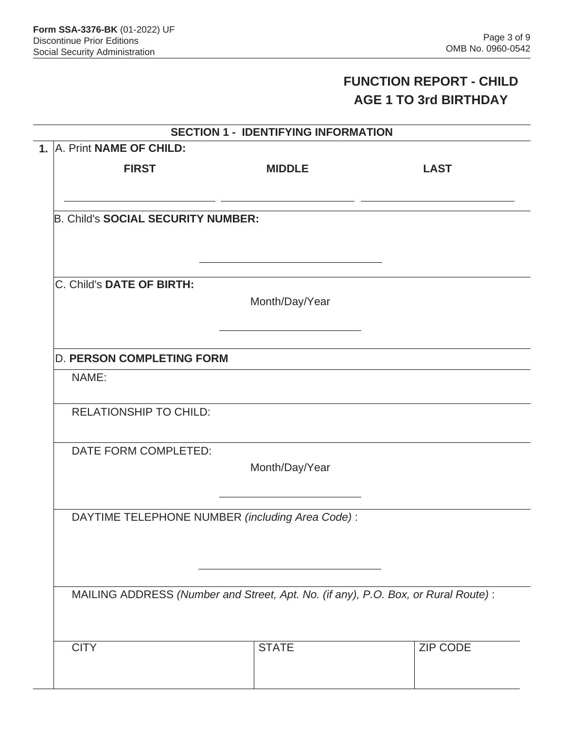## **FUNCTION REPORT - CHILD AGE 1 TO 3rd BIRTHDAY**

|                                           | <b>SECTION 1 - IDENTIFYING INFORMATION</b>                                        |                 |
|-------------------------------------------|-----------------------------------------------------------------------------------|-----------------|
| 1. A. Print NAME OF CHILD:                |                                                                                   |                 |
| <b>FIRST</b>                              | <b>MIDDLE</b>                                                                     | <b>LAST</b>     |
|                                           |                                                                                   |                 |
| <b>B. Child's SOCIAL SECURITY NUMBER:</b> |                                                                                   |                 |
|                                           |                                                                                   |                 |
|                                           |                                                                                   |                 |
|                                           |                                                                                   |                 |
| C. Child's DATE OF BIRTH:                 |                                                                                   |                 |
|                                           | Month/Day/Year                                                                    |                 |
|                                           |                                                                                   |                 |
| <b>D. PERSON COMPLETING FORM</b>          |                                                                                   |                 |
| NAME:                                     |                                                                                   |                 |
|                                           |                                                                                   |                 |
| <b>RELATIONSHIP TO CHILD:</b>             |                                                                                   |                 |
|                                           |                                                                                   |                 |
| DATE FORM COMPLETED:                      |                                                                                   |                 |
|                                           | Month/Day/Year                                                                    |                 |
|                                           |                                                                                   |                 |
|                                           | DAYTIME TELEPHONE NUMBER (including Area Code):                                   |                 |
|                                           |                                                                                   |                 |
|                                           |                                                                                   |                 |
|                                           |                                                                                   |                 |
|                                           | MAILING ADDRESS (Number and Street, Apt. No. (if any), P.O. Box, or Rural Route): |                 |
|                                           |                                                                                   |                 |
|                                           |                                                                                   |                 |
| <b>CITY</b>                               | <b>STATE</b>                                                                      | <b>ZIP CODE</b> |
|                                           |                                                                                   |                 |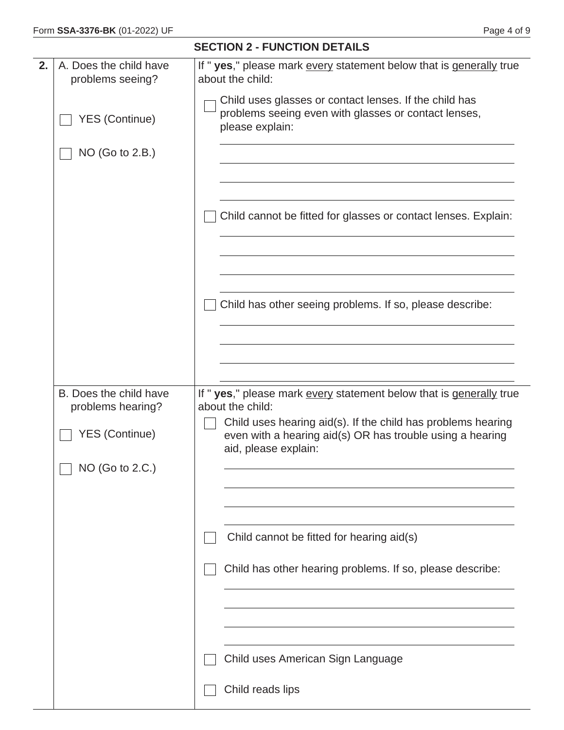| 2. | A. Does the child have<br>problems seeing?  | If " yes," please mark every statement below that is generally true<br>about the child:                                                                 |
|----|---------------------------------------------|---------------------------------------------------------------------------------------------------------------------------------------------------------|
|    | <b>YES (Continue)</b>                       | Child uses glasses or contact lenses. If the child has<br>problems seeing even with glasses or contact lenses,<br>please explain:                       |
|    | NO (Go to 2.B.)                             |                                                                                                                                                         |
|    |                                             | Child cannot be fitted for glasses or contact lenses. Explain:                                                                                          |
|    |                                             |                                                                                                                                                         |
|    |                                             | Child has other seeing problems. If so, please describe:                                                                                                |
|    |                                             |                                                                                                                                                         |
|    | B. Does the child have<br>problems hearing? | If " yes," please mark every statement below that is generally true<br>about the child:<br>Child uses hearing aid(s). If the child has problems hearing |
|    | <b>YES (Continue)</b><br>NO (Go to 2.C.)    | even with a hearing aid(s) OR has trouble using a hearing<br>aid, please explain:                                                                       |
|    |                                             |                                                                                                                                                         |
|    |                                             | Child cannot be fitted for hearing aid(s)                                                                                                               |
|    |                                             | Child has other hearing problems. If so, please describe:                                                                                               |
|    |                                             |                                                                                                                                                         |
|    |                                             | Child uses American Sign Language                                                                                                                       |
|    |                                             | Child reads lips                                                                                                                                        |

**SECTION 2 - FUNCTION DETAILS**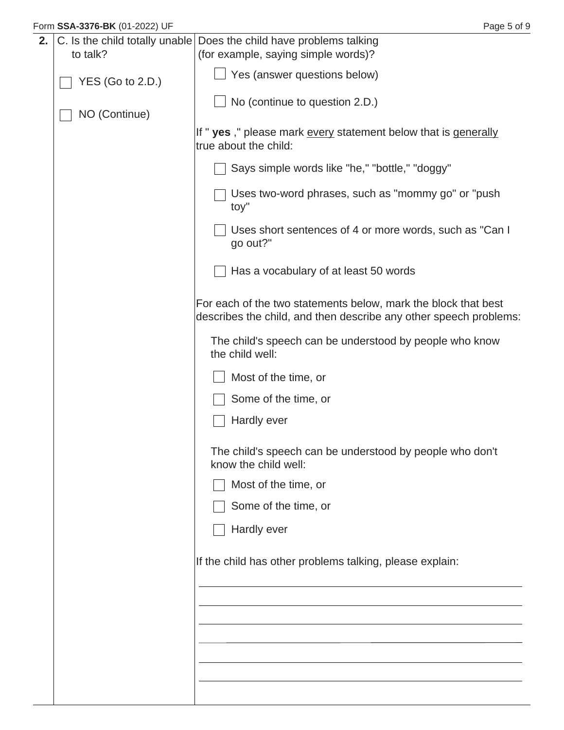| 2. | to talk?         | C. Is the child totally unable Does the child have problems talking<br>(for example, saying simple words)?                          |
|----|------------------|-------------------------------------------------------------------------------------------------------------------------------------|
|    | YES (Go to 2.D.) | Yes (answer questions below)                                                                                                        |
|    | NO (Continue)    | No (continue to question 2.D.)                                                                                                      |
|    |                  | If " yes," please mark every statement below that is generally<br>true about the child:                                             |
|    |                  | Says simple words like "he," "bottle," "doggy"                                                                                      |
|    |                  | Uses two-word phrases, such as "mommy go" or "push"<br>toy"                                                                         |
|    |                  | Uses short sentences of 4 or more words, such as "Can I<br>go out?"                                                                 |
|    |                  | Has a vocabulary of at least 50 words                                                                                               |
|    |                  | For each of the two statements below, mark the block that best<br>describes the child, and then describe any other speech problems: |
|    |                  | The child's speech can be understood by people who know<br>the child well:                                                          |
|    |                  | Most of the time, or                                                                                                                |
|    |                  | Some of the time, or                                                                                                                |
|    |                  | Hardly ever                                                                                                                         |
|    |                  | The child's speech can be understood by people who don't<br>know the child well:                                                    |
|    |                  | Most of the time, or                                                                                                                |
|    |                  | Some of the time, or                                                                                                                |
|    |                  | Hardly ever                                                                                                                         |
|    |                  | If the child has other problems talking, please explain:                                                                            |
|    |                  |                                                                                                                                     |
|    |                  |                                                                                                                                     |
|    |                  |                                                                                                                                     |
|    |                  |                                                                                                                                     |
|    |                  |                                                                                                                                     |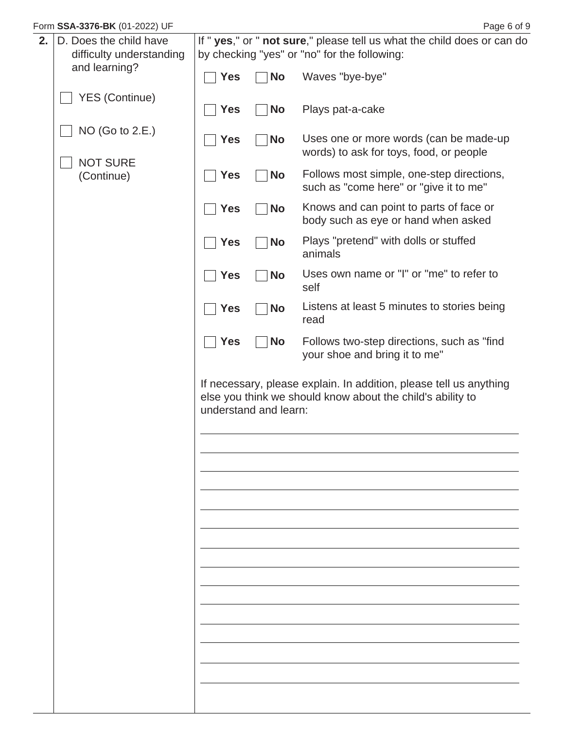|    | Form SSA-3376-BK (01-2022) UF                      |            |                       | Page 6 of 9                                                                                                                      |
|----|----------------------------------------------------|------------|-----------------------|----------------------------------------------------------------------------------------------------------------------------------|
| 2. | D. Does the child have<br>difficulty understanding |            |                       | If " yes," or " not sure," please tell us what the child does or can do<br>by checking "yes" or "no" for the following:          |
|    | and learning?                                      | Yes        | <b>No</b>             | Waves "bye-bye"                                                                                                                  |
|    | <b>YES (Continue)</b>                              | Yes        | <b>No</b>             | Plays pat-a-cake                                                                                                                 |
|    | NO (Go to 2.E.)                                    | <b>Yes</b> | <b>No</b>             | Uses one or more words (can be made-up<br>words) to ask for toys, food, or people                                                |
|    | <b>NOT SURE</b><br>(Continue)                      | <b>Yes</b> | <b>No</b>             | Follows most simple, one-step directions,<br>such as "come here" or "give it to me"                                              |
|    |                                                    | <b>Yes</b> | <b>No</b>             | Knows and can point to parts of face or<br>body such as eye or hand when asked                                                   |
|    |                                                    | <b>Yes</b> | <b>No</b>             | Plays "pretend" with dolls or stuffed<br>animals                                                                                 |
|    |                                                    | <b>Yes</b> | <b>No</b>             | Uses own name or "I" or "me" to refer to<br>self                                                                                 |
|    |                                                    | <b>Yes</b> | <b>No</b>             | Listens at least 5 minutes to stories being<br>read                                                                              |
|    |                                                    | <b>Yes</b> | <b>No</b>             | Follows two-step directions, such as "find<br>your shoe and bring it to me"                                                      |
|    |                                                    |            | understand and learn: | If necessary, please explain. In addition, please tell us anything<br>else you think we should know about the child's ability to |
|    |                                                    |            |                       |                                                                                                                                  |
|    |                                                    |            |                       |                                                                                                                                  |
|    |                                                    |            |                       |                                                                                                                                  |
|    |                                                    |            |                       |                                                                                                                                  |
|    |                                                    |            |                       |                                                                                                                                  |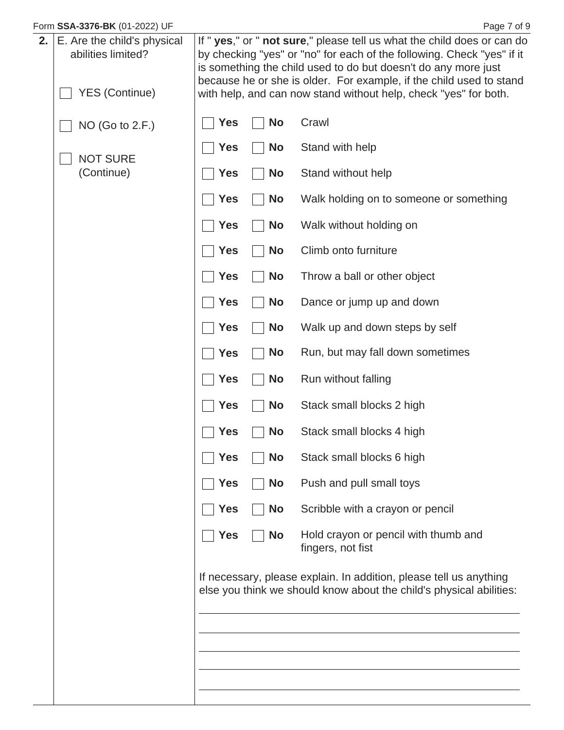|    | Form SSA-3376-BK (01-2022) UF                                              |            |           |                                                                                                                                                                                                                                                                                                                                                                | Page 7 of 9 |
|----|----------------------------------------------------------------------------|------------|-----------|----------------------------------------------------------------------------------------------------------------------------------------------------------------------------------------------------------------------------------------------------------------------------------------------------------------------------------------------------------------|-------------|
| 2. | E. Are the child's physical<br>abilities limited?<br><b>YES (Continue)</b> |            |           | If " yes," or " not sure," please tell us what the child does or can do<br>by checking "yes" or "no" for each of the following. Check "yes" if it<br>is something the child used to do but doesn't do any more just<br>because he or she is older. For example, if the child used to stand<br>with help, and can now stand without help, check "yes" for both. |             |
|    | NO (Go to 2.F.)                                                            | Yes        | <b>No</b> | Crawl                                                                                                                                                                                                                                                                                                                                                          |             |
|    | <b>NOT SURE</b>                                                            | Yes        | No        | Stand with help                                                                                                                                                                                                                                                                                                                                                |             |
|    | (Continue)                                                                 | Yes        | <b>No</b> | Stand without help                                                                                                                                                                                                                                                                                                                                             |             |
|    |                                                                            | Yes        | <b>No</b> | Walk holding on to someone or something                                                                                                                                                                                                                                                                                                                        |             |
|    |                                                                            | <b>Yes</b> | <b>No</b> | Walk without holding on                                                                                                                                                                                                                                                                                                                                        |             |
|    |                                                                            | Yes        | <b>No</b> | Climb onto furniture                                                                                                                                                                                                                                                                                                                                           |             |
|    |                                                                            | <b>Yes</b> | <b>No</b> | Throw a ball or other object                                                                                                                                                                                                                                                                                                                                   |             |
|    |                                                                            | <b>Yes</b> | <b>No</b> | Dance or jump up and down                                                                                                                                                                                                                                                                                                                                      |             |
|    |                                                                            | Yes        | <b>No</b> | Walk up and down steps by self                                                                                                                                                                                                                                                                                                                                 |             |
|    |                                                                            | <b>Yes</b> | <b>No</b> | Run, but may fall down sometimes                                                                                                                                                                                                                                                                                                                               |             |
|    |                                                                            | <b>Yes</b> | <b>No</b> | Run without falling                                                                                                                                                                                                                                                                                                                                            |             |
|    |                                                                            | <b>Yes</b> | <b>No</b> | Stack small blocks 2 high                                                                                                                                                                                                                                                                                                                                      |             |
|    |                                                                            | <b>Yes</b> | ∣ No      | Stack small blocks 4 high                                                                                                                                                                                                                                                                                                                                      |             |
|    |                                                                            | Yes        | <b>No</b> | Stack small blocks 6 high                                                                                                                                                                                                                                                                                                                                      |             |
|    |                                                                            | <b>Yes</b> | <b>No</b> | Push and pull small toys                                                                                                                                                                                                                                                                                                                                       |             |
|    |                                                                            | Yes        | <b>No</b> | Scribble with a crayon or pencil                                                                                                                                                                                                                                                                                                                               |             |
|    |                                                                            | Yes        | <b>No</b> | Hold crayon or pencil with thumb and<br>fingers, not fist                                                                                                                                                                                                                                                                                                      |             |
|    |                                                                            |            |           | If necessary, please explain. In addition, please tell us anything<br>else you think we should know about the child's physical abilities:                                                                                                                                                                                                                      |             |
|    |                                                                            |            |           |                                                                                                                                                                                                                                                                                                                                                                |             |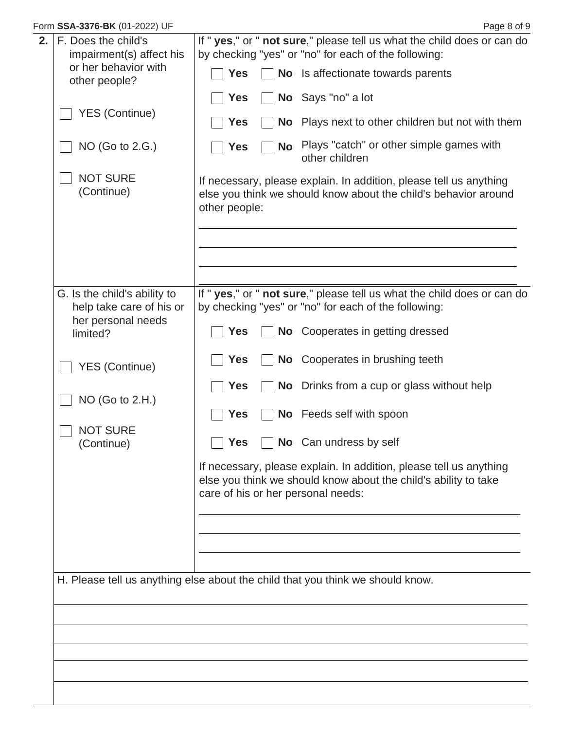| Form SSA-3376-BK (01-2022) UF | Page 8 of 9 |
|-------------------------------|-------------|
|                               |             |

| Page 8 of 9 |  |  |  |  |  |
|-------------|--|--|--|--|--|
|-------------|--|--|--|--|--|

| Form <b>SSA-3376-BK</b> (01-2022) UF                                                                                                                                    | Page 8 of 9                                                                                                                                                                                                                                                                                                                                                                                                                                                                                                                                   |
|-------------------------------------------------------------------------------------------------------------------------------------------------------------------------|-----------------------------------------------------------------------------------------------------------------------------------------------------------------------------------------------------------------------------------------------------------------------------------------------------------------------------------------------------------------------------------------------------------------------------------------------------------------------------------------------------------------------------------------------|
| F. Does the child's<br>impairment(s) affect his<br>or her behavior with<br>other people?<br><b>YES (Continue)</b><br>NO (Go to 2.G.)<br><b>NOT SURE</b><br>(Continue)   | If " yes," or " not sure," please tell us what the child does or can do<br>by checking "yes" or "no" for each of the following:<br><b>Yes</b><br>No Is affectionate towards parents<br>No Says "no" a lot<br><b>Yes</b><br>No Plays next to other children but not with them<br><b>Yes</b><br>Plays "catch" or other simple games with<br><b>No</b><br><b>Yes</b><br>other children<br>If necessary, please explain. In addition, please tell us anything<br>else you think we should know about the child's behavior around<br>other people: |
| G. Is the child's ability to<br>help take care of his or<br>her personal needs<br>limited?<br><b>YES (Continue)</b><br>NO (Go to 2.H.)<br><b>NOT SURE</b><br>(Continue) | If " yes," or " not sure," please tell us what the child does or can do<br>by checking "yes" or "no" for each of the following:<br>No Cooperates in getting dressed<br>Yes<br>No Cooperates in brushing teeth<br>Yes<br><b>No</b> Drinks from a cup or glass without help<br>Yes<br>No Feeds self with spoon<br>Yes<br><b>Yes</b><br>No Can undress by self<br>If necessary, please explain. In addition, please tell us anything<br>else you think we should know about the child's ability to take<br>care of his or her personal needs:    |
|                                                                                                                                                                         | H. Please tell us anything else about the child that you think we should know.                                                                                                                                                                                                                                                                                                                                                                                                                                                                |